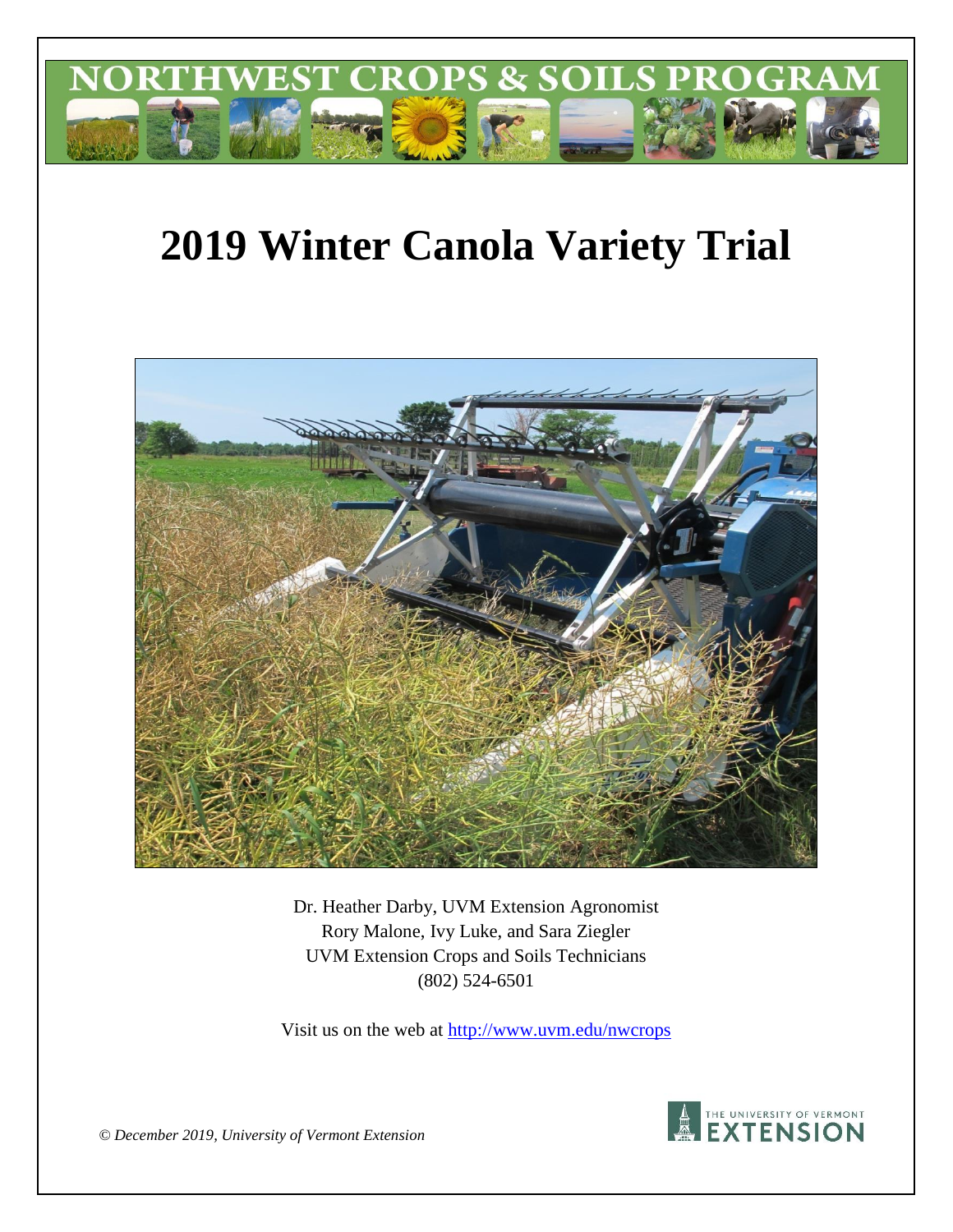

# **2019 Winter Canola Variety Trial**



Dr. Heather Darby, UVM Extension Agronomist Rory Malone, Ivy Luke, and Sara Ziegler UVM Extension Crops and Soils Technicians (802) 524-6501

Visit us on the web at<http://www.uvm.edu/nwcrops>



*© December 2019, University of Vermont Extension*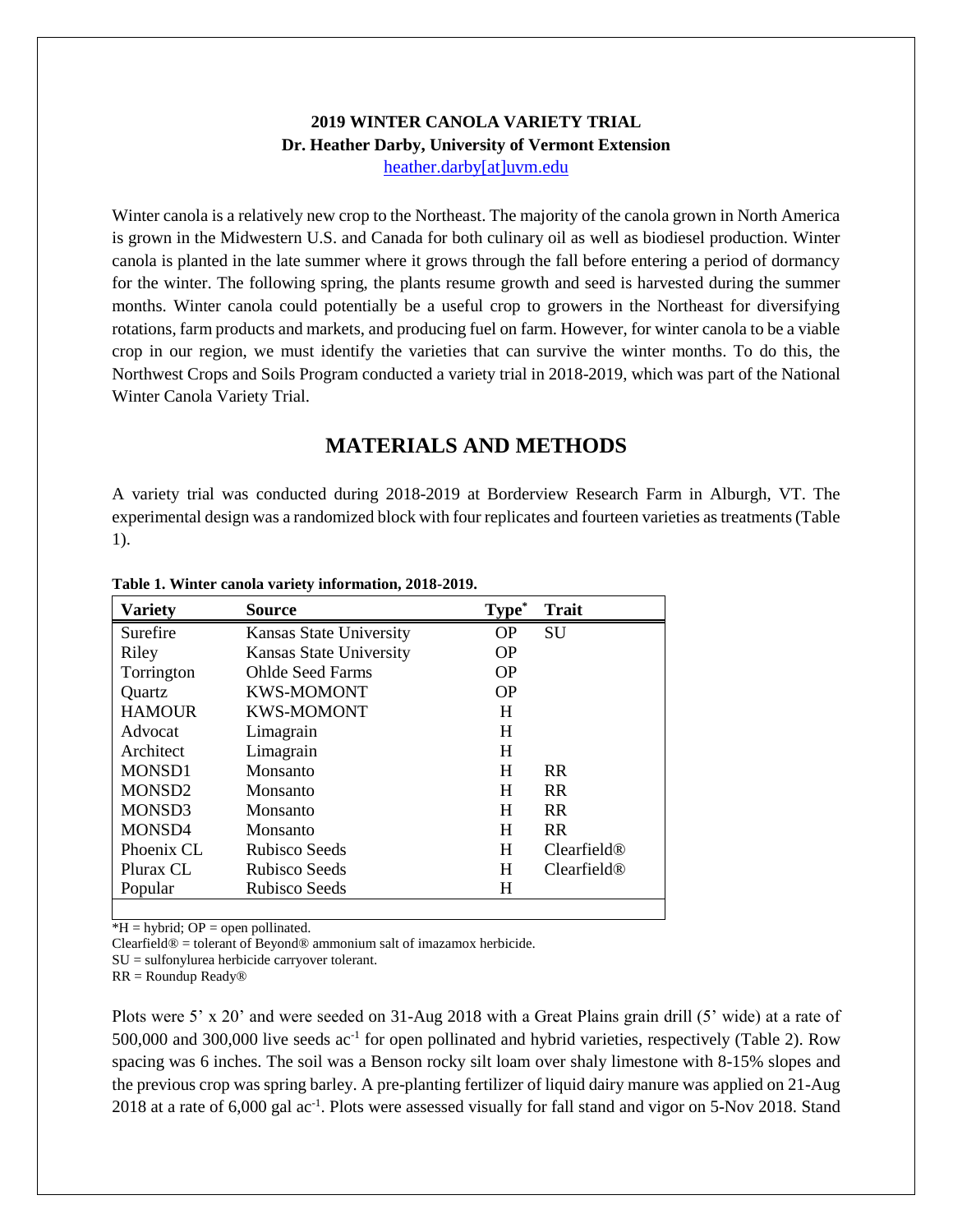### **2019 WINTER CANOLA VARIETY TRIAL Dr. Heather Darby, University of Vermont Extension** [heather.darby\[at\]uvm.edu](mailto:heather.darby@uvm.edu?subject=2013%20Sunflower%20Reduced%20Tillage%20Trial)

Winter canola is a relatively new crop to the Northeast. The majority of the canola grown in North America is grown in the Midwestern U.S. and Canada for both culinary oil as well as biodiesel production. Winter canola is planted in the late summer where it grows through the fall before entering a period of dormancy for the winter. The following spring, the plants resume growth and seed is harvested during the summer months. Winter canola could potentially be a useful crop to growers in the Northeast for diversifying rotations, farm products and markets, and producing fuel on farm. However, for winter canola to be a viable crop in our region, we must identify the varieties that can survive the winter months. To do this, the Northwest Crops and Soils Program conducted a variety trial in 2018-2019, which was part of the National Winter Canola Variety Trial.

# **MATERIALS AND METHODS**

A variety trial was conducted during 2018-2019 at Borderview Research Farm in Alburgh, VT. The experimental design was a randomized block with four replicates and fourteen varieties as treatments (Table 1).

| Variety            | Source                  | Type <sup>*</sup> | <b>Trait</b>   |
|--------------------|-------------------------|-------------------|----------------|
| Surefire           | Kansas State University | <b>OP</b>         | SU             |
| Riley              | Kansas State University | <b>OP</b>         |                |
| Torrington         | <b>Ohlde Seed Farms</b> | <b>OP</b>         |                |
| Quartz             | <b>KWS-MOMONT</b>       | <b>OP</b>         |                |
| <b>HAMOUR</b>      | <b>KWS-MOMONT</b>       | H                 |                |
| Advocat            | Limagrain               | H                 |                |
| Architect          | Limagrain               | H                 |                |
| <b>MONSD1</b>      | Monsanto                | H                 | R <sub>R</sub> |
| MONSD <sub>2</sub> | Monsanto                | H                 | <b>RR</b>      |
| MONSD3             | Monsanto                | H                 | <b>RR</b>      |
| MONSD4             | Monsanto                | H                 | <b>RR</b>      |
| Phoenix CL         | Rubisco Seeds           | H                 | Clearfield@    |
| Plurax CL          | Rubisco Seeds           | H                 | Clearfield@    |
| Popular            | Rubisco Seeds           | H                 |                |
|                    |                         |                   |                |

#### **Table 1. Winter canola variety information, 2018-2019.**

 $*H = h$ ybrid; OP = open pollinated.

Clearfield® = tolerant of Beyond® ammonium salt of imazamox herbicide.

SU = sulfonylurea herbicide carryover tolerant.

RR = Roundup Ready®

Plots were 5' x 20' and were seeded on 31-Aug 2018 with a Great Plains grain drill (5' wide) at a rate of 500,000 and 300,000 live seeds ac<sup>-1</sup> for open pollinated and hybrid varieties, respectively (Table 2). Row spacing was 6 inches. The soil was a Benson rocky silt loam over shaly limestone with 8-15% slopes and the previous crop was spring barley. A pre-planting fertilizer of liquid dairy manure was applied on 21-Aug 2018 at a rate of 6,000 gal ac<sup>-1</sup>. Plots were assessed visually for fall stand and vigor on 5-Nov 2018. Stand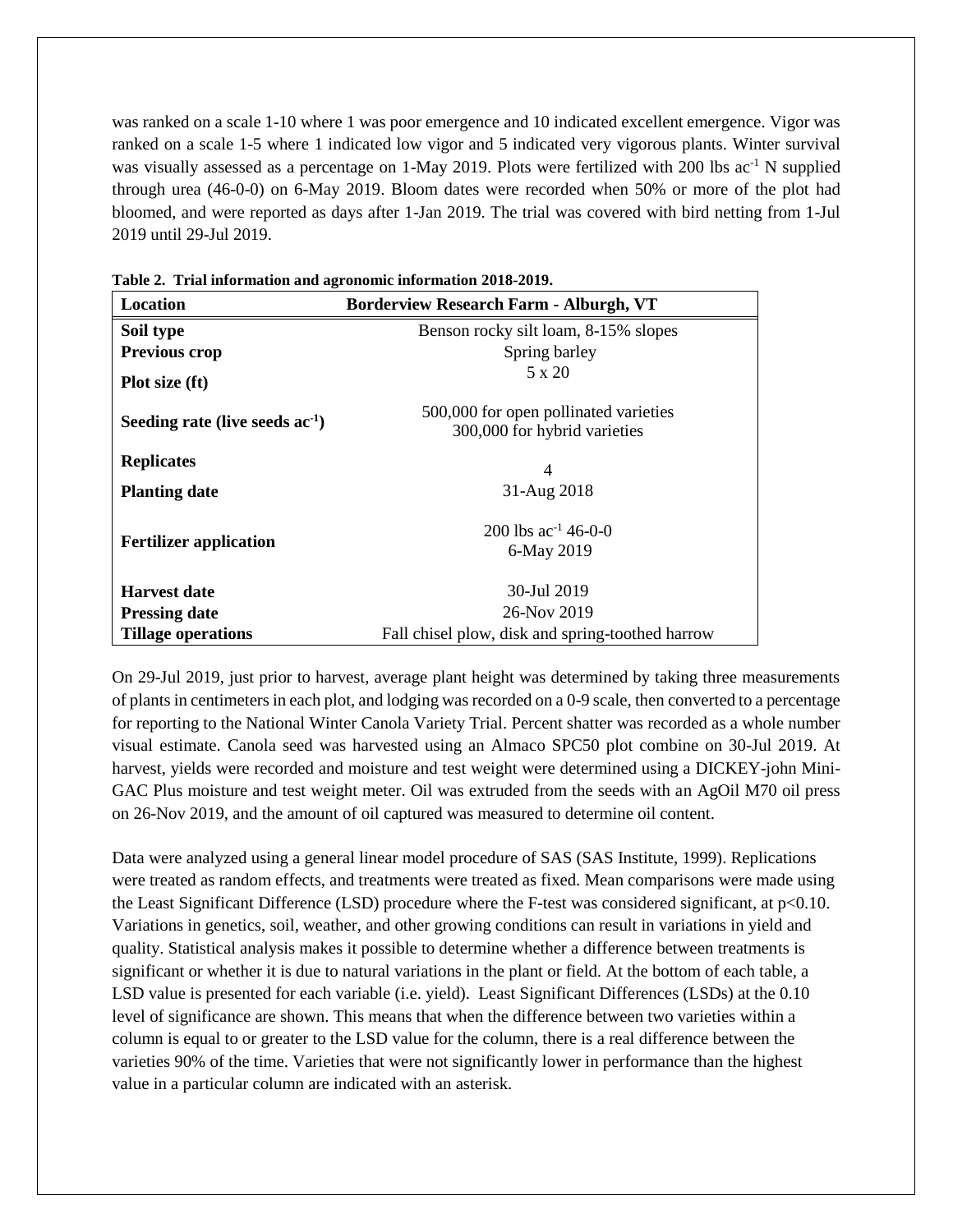was ranked on a scale 1-10 where 1 was poor emergence and 10 indicated excellent emergence. Vigor was ranked on a scale 1-5 where 1 indicated low vigor and 5 indicated very vigorous plants. Winter survival was visually assessed as a percentage on 1-May 2019. Plots were fertilized with 200 lbs ac<sup>-1</sup> N supplied through urea (46-0-0) on 6-May 2019. Bloom dates were recorded when 50% or more of the plot had bloomed, and were reported as days after 1-Jan 2019. The trial was covered with bird netting from 1-Jul 2019 until 29-Jul 2019.

| Location                                                                                                             | <b>Borderview Research Farm - Alburgh, VT</b>                         |  |  |  |  |
|----------------------------------------------------------------------------------------------------------------------|-----------------------------------------------------------------------|--|--|--|--|
| Soil type                                                                                                            | Benson rocky silt loam, 8-15% slopes                                  |  |  |  |  |
| <b>Previous crop</b>                                                                                                 | Spring barley                                                         |  |  |  |  |
| Plot size (ft)                                                                                                       | $5 \times 20$                                                         |  |  |  |  |
| Seeding rate (live seeds $ac-1$ )                                                                                    | 500,000 for open pollinated varieties<br>300,000 for hybrid varieties |  |  |  |  |
| <b>Replicates</b>                                                                                                    | 4                                                                     |  |  |  |  |
| <b>Planting date</b>                                                                                                 | 31-Aug 2018                                                           |  |  |  |  |
| <b>Fertilizer application</b>                                                                                        | 200 lbs $ac^{-1}$ 46-0-0<br>6-May 2019                                |  |  |  |  |
| <b>Harvest date</b>                                                                                                  | 30-Jul 2019                                                           |  |  |  |  |
| 26-Nov 2019<br><b>Pressing date</b><br>Fall chisel plow, disk and spring-toothed harrow<br><b>Tillage operations</b> |                                                                       |  |  |  |  |

**Table 2. Trial information and agronomic information 2018-2019.**

On 29-Jul 2019, just prior to harvest, average plant height was determined by taking three measurements of plants in centimeters in each plot, and lodging was recorded on a 0-9 scale, then converted to a percentage for reporting to the National Winter Canola Variety Trial. Percent shatter was recorded as a whole number visual estimate. Canola seed was harvested using an Almaco SPC50 plot combine on 30-Jul 2019. At harvest, yields were recorded and moisture and test weight were determined using a DICKEY-john Mini-GAC Plus moisture and test weight meter. Oil was extruded from the seeds with an AgOil M70 oil press on 26-Nov 2019, and the amount of oil captured was measured to determine oil content.

Data were analyzed using a general linear model procedure of SAS (SAS Institute, 1999). Replications were treated as random effects, and treatments were treated as fixed. Mean comparisons were made using the Least Significant Difference (LSD) procedure where the F-test was considered significant, at p<0.10. Variations in genetics, soil, weather, and other growing conditions can result in variations in yield and quality. Statistical analysis makes it possible to determine whether a difference between treatments is significant or whether it is due to natural variations in the plant or field. At the bottom of each table, a LSD value is presented for each variable (i.e. yield). Least Significant Differences (LSDs) at the 0.10 level of significance are shown. This means that when the difference between two varieties within a column is equal to or greater to the LSD value for the column, there is a real difference between the varieties 90% of the time. Varieties that were not significantly lower in performance than the highest value in a particular column are indicated with an asterisk.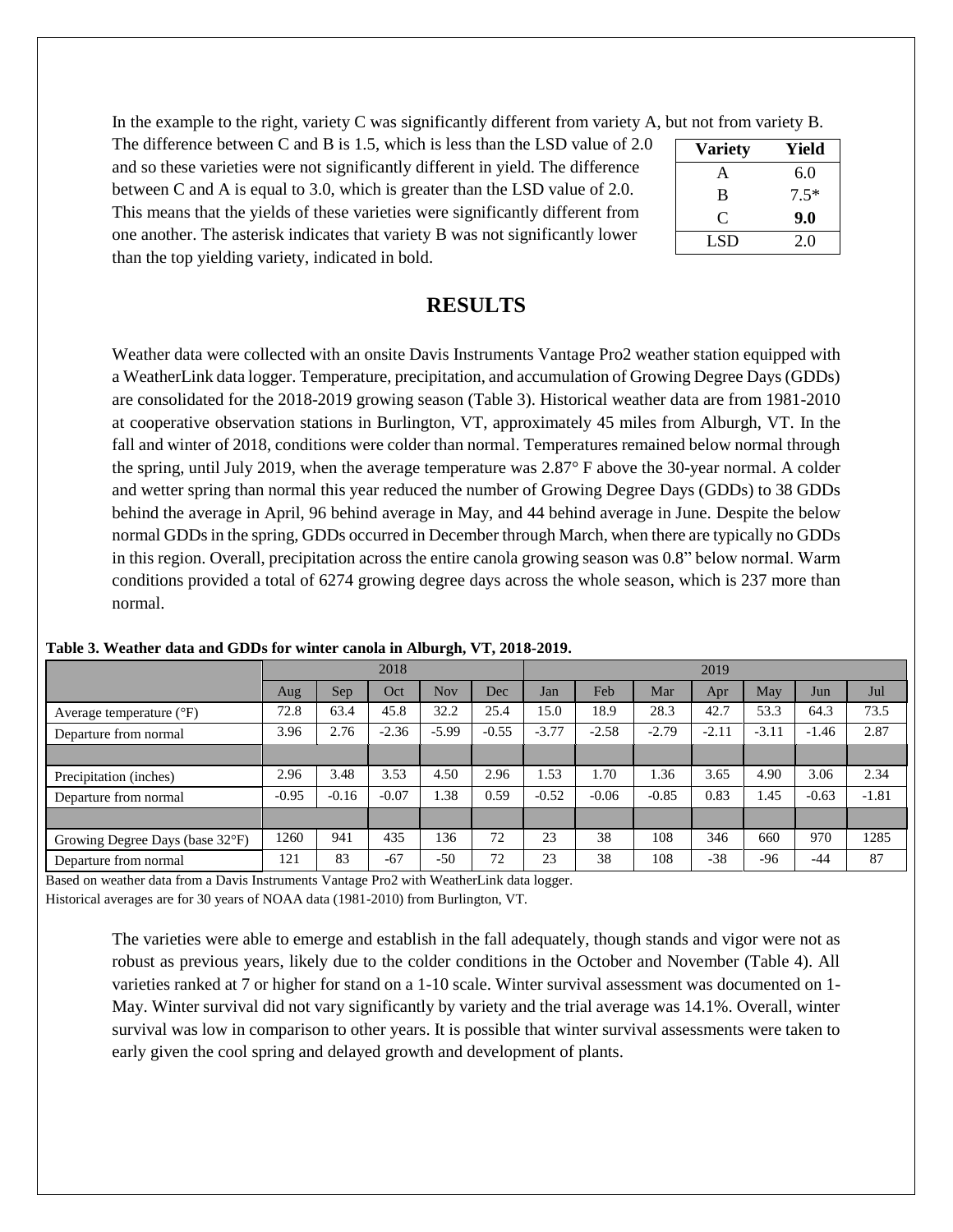In the example to the right, variety C was significantly different from variety A, but not from variety B.

The difference between C and B is 1.5, which is less than the LSD value of 2.0 and so these varieties were not significantly different in yield. The difference between C and A is equal to 3.0, which is greater than the LSD value of 2.0. This means that the yields of these varieties were significantly different from one another. The asterisk indicates that variety B was not significantly lower than the top yielding variety, indicated in bold.

| <b>Variety</b> | Yield  |
|----------------|--------|
| A              | 6.0    |
| B              | $7.5*$ |
| C              | 9.0    |
| LSD            | 2.0    |

# **RESULTS**

Weather data were collected with an onsite Davis Instruments Vantage Pro2 weather station equipped with a WeatherLink data logger. Temperature, precipitation, and accumulation of Growing Degree Days (GDDs) are consolidated for the 2018-2019 growing season (Table 3). Historical weather data are from 1981-2010 at cooperative observation stations in Burlington, VT, approximately 45 miles from Alburgh, VT. In the fall and winter of 2018, conditions were colder than normal. Temperatures remained below normal through the spring, until July 2019, when the average temperature was 2.87° F above the 30-year normal. A colder and wetter spring than normal this year reduced the number of Growing Degree Days (GDDs) to 38 GDDs behind the average in April, 96 behind average in May, and 44 behind average in June. Despite the below normal GDDs in the spring, GDDs occurred in December through March, when there are typically no GDDs in this region. Overall, precipitation across the entire canola growing season was 0.8" below normal. Warm conditions provided a total of 6274 growing degree days across the whole season, which is 237 more than normal.

|                                   | 2018    |         |         |         | 2019    |         |         |         |         |         |         |         |
|-----------------------------------|---------|---------|---------|---------|---------|---------|---------|---------|---------|---------|---------|---------|
|                                   | Aug     | Sep     | Oct     | Nov     | Dec     | Jan     | Feb     | Mar     | Apr     | Mav     | Jun     | Jul     |
| Average temperature $(^{\circ}F)$ | 72.8    | 63.4    | 45.8    | 32.2    | 25.4    | 15.0    | 18.9    | 28.3    | 42.7    | 53.3    | 64.3    | 73.5    |
| Departure from normal             | 3.96    | 2.76    | $-2.36$ | $-5.99$ | $-0.55$ | $-3.77$ | $-2.58$ | $-2.79$ | $-2.11$ | $-3.11$ | $-1.46$ | 2.87    |
|                                   |         |         |         |         |         |         |         |         |         |         |         |         |
| Precipitation (inches)            | 2.96    | 3.48    | 3.53    | 4.50    | 2.96    | .53     | 1.70    | l.36    | 3.65    | 4.90    | 3.06    | 2.34    |
| Departure from normal             | $-0.95$ | $-0.16$ | $-0.07$ | 1.38    | 0.59    | $-0.52$ | $-0.06$ | $-0.85$ | 0.83    | 1.45    | $-0.63$ | $-1.81$ |
|                                   |         |         |         |         |         |         |         |         |         |         |         |         |
| Growing Degree Days (base 32°F)   | 1260    | 941     | 435     | 136     | 72      | 23      | 38      | 108     | 346     | 660     | 970     | 1285    |
| Departure from normal             | 121     | 83      | $-67$   | $-50$   | 72      | 23      | 38      | 108     | $-38$   | $-96$   | -44     | 87      |

**Table 3. Weather data and GDDs for winter canola in Alburgh, VT, 2018-2019.**

Based on weather data from a Davis Instruments Vantage Pro2 with WeatherLink data logger.

Historical averages are for 30 years of NOAA data (1981-2010) from Burlington, VT.

The varieties were able to emerge and establish in the fall adequately, though stands and vigor were not as robust as previous years, likely due to the colder conditions in the October and November (Table 4). All varieties ranked at 7 or higher for stand on a 1-10 scale. Winter survival assessment was documented on 1- May. Winter survival did not vary significantly by variety and the trial average was 14.1%. Overall, winter survival was low in comparison to other years. It is possible that winter survival assessments were taken to early given the cool spring and delayed growth and development of plants.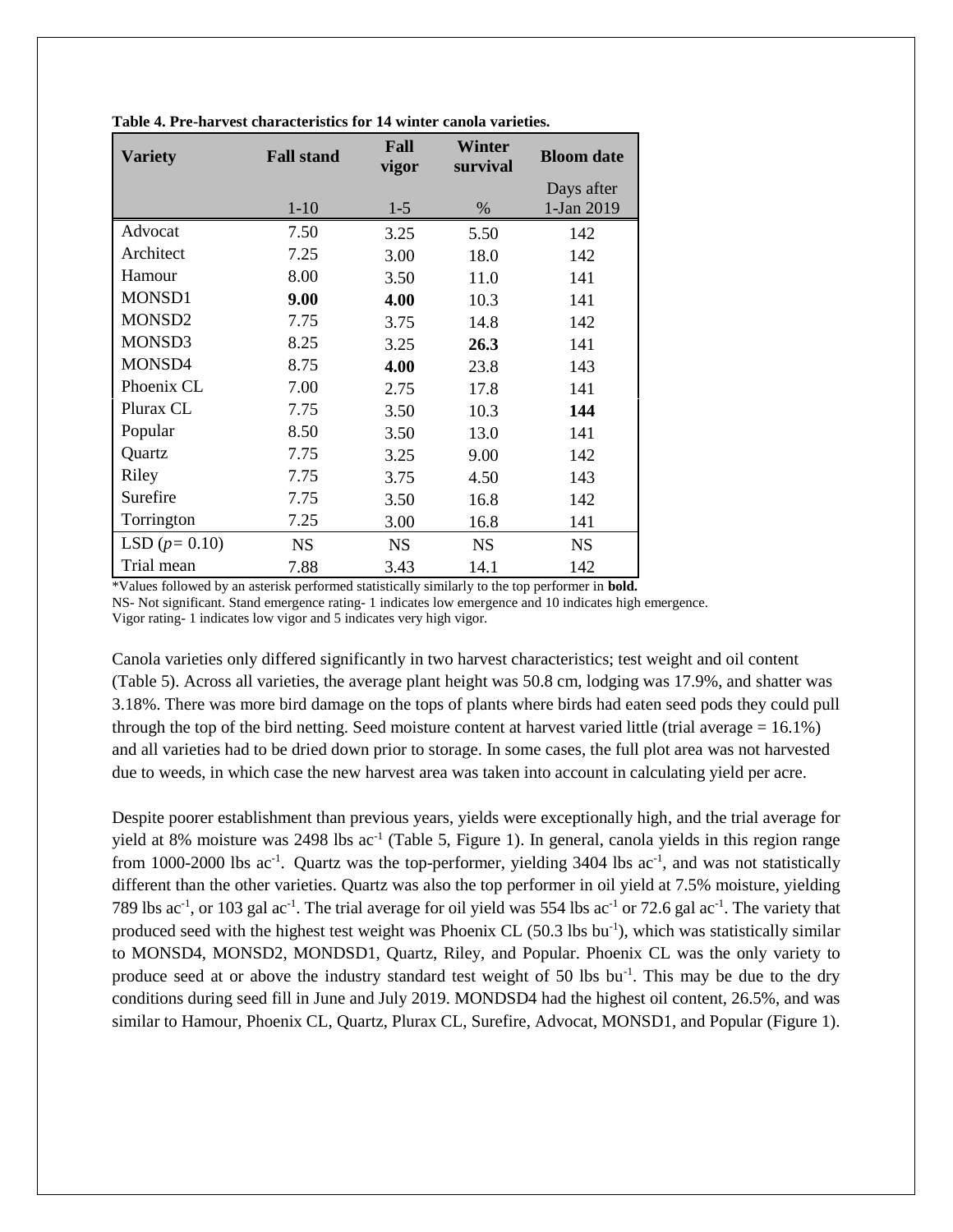| <b>Variety</b>     | <b>Fall stand</b> | Fall<br>vigor | Winter<br>survival | <b>Bloom</b> date        |  |  |
|--------------------|-------------------|---------------|--------------------|--------------------------|--|--|
|                    | $1 - 10$          | $1 - 5$       | $\%$               | Days after<br>1-Jan 2019 |  |  |
| Advocat            | 7.50              | 3.25          | 5.50               | 142                      |  |  |
| Architect          | 7.25              | 3.00          | 18.0               | 142                      |  |  |
| Hamour             | 8.00              | 3.50          | 11.0               | 141                      |  |  |
| <b>MONSD1</b>      | 9.00              | 4.00          | 10.3               | 141                      |  |  |
| MONSD <sub>2</sub> | 7.75              | 3.75          | 14.8               | 142                      |  |  |
| MONSD3             | 8.25              | 3.25          | 26.3               | 141                      |  |  |
| MONSD4             | 8.75              | 4.00          | 23.8               | 143                      |  |  |
| Phoenix CL         | 7.00              | 2.75          | 17.8               | 141                      |  |  |
| Plurax CL          | 7.75              | 3.50          | 10.3               | 144                      |  |  |
| Popular            | 8.50              | 3.50          | 13.0               | 141                      |  |  |
| Quartz             | 7.75              | 3.25          | 9.00               | 142                      |  |  |
| Riley              | 7.75              | 3.75          | 4.50               | 143                      |  |  |
| Surefire           | 7.75              | 3.50          | 16.8               | 142                      |  |  |
| Torrington         | 7.25              | 3.00          | 16.8               | 141                      |  |  |
| LSD $(p=0.10)$     | <b>NS</b>         | <b>NS</b>     | <b>NS</b>          | <b>NS</b>                |  |  |
| Trial mean         | 7.88              | 3.43          | 14.1               | 142                      |  |  |

**Table 4. Pre-harvest characteristics for 14 winter canola varieties.**

\*Values followed by an asterisk performed statistically similarly to the top performer in **bold.**

NS- Not significant. Stand emergence rating- 1 indicates low emergence and 10 indicates high emergence.

Vigor rating- 1 indicates low vigor and 5 indicates very high vigor.

Canola varieties only differed significantly in two harvest characteristics; test weight and oil content (Table 5). Across all varieties, the average plant height was 50.8 cm, lodging was 17.9%, and shatter was 3.18%. There was more bird damage on the tops of plants where birds had eaten seed pods they could pull through the top of the bird netting. Seed moisture content at harvest varied little (trial average = 16.1%) and all varieties had to be dried down prior to storage. In some cases, the full plot area was not harvested due to weeds, in which case the new harvest area was taken into account in calculating yield per acre.

Despite poorer establishment than previous years, yields were exceptionally high, and the trial average for yield at 8% moisture was 2498 lbs ac<sup>-1</sup> (Table 5, Figure 1). In general, canola yields in this region range from 1000-2000 lbs ac<sup>-1</sup>. Quartz was the top-performer, yielding 3404 lbs ac<sup>-1</sup>, and was not statistically different than the other varieties. Quartz was also the top performer in oil yield at 7.5% moisture, yielding 789 lbs ac<sup>-1</sup>, or 103 gal ac<sup>-1</sup>. The trial average for oil yield was 554 lbs ac<sup>-1</sup> or 72.6 gal ac<sup>-1</sup>. The variety that produced seed with the highest test weight was Phoenix CL (50.3 lbs bu<sup>-1</sup>), which was statistically similar to MONSD4, MONSD2, MONDSD1, Quartz, Riley, and Popular. Phoenix CL was the only variety to produce seed at or above the industry standard test weight of 50 lbs bu<sup>-1</sup>. This may be due to the dry conditions during seed fill in June and July 2019. MONDSD4 had the highest oil content, 26.5%, and was similar to Hamour, Phoenix CL, Quartz, Plurax CL, Surefire, Advocat, MONSD1, and Popular (Figure 1).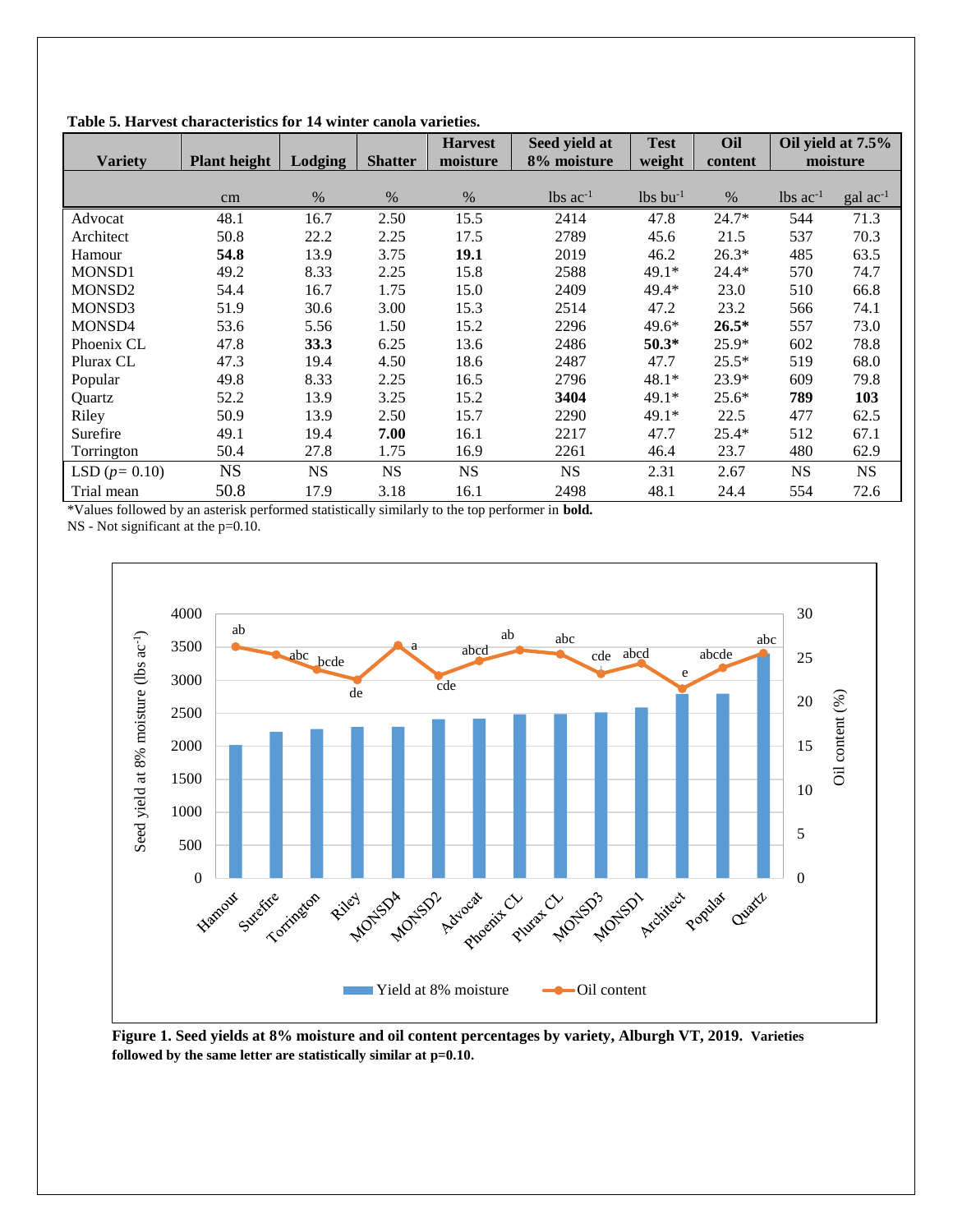|                                             |                     |           |                | <b>Harvest</b> | Seed yield at          | <b>Test</b>            | Oil     | Oil yield at 7.5%      |                       |
|---------------------------------------------|---------------------|-----------|----------------|----------------|------------------------|------------------------|---------|------------------------|-----------------------|
| <b>Variety</b>                              | <b>Plant height</b> | Lodging   | <b>Shatter</b> | moisture       | 8% moisture            | weight                 | content |                        | moisture              |
|                                             |                     |           |                |                |                        |                        |         |                        |                       |
|                                             | cm                  | %         | $\%$           | $\%$           | $lbs$ ac <sup>-1</sup> | $lbs$ bu <sup>-1</sup> | $\%$    | $lbs$ ac <sup>-1</sup> | $\text{gal } ac^{-1}$ |
| Advocat                                     | 48.1                | 16.7      | 2.50           | 15.5           | 2414                   | 47.8                   | $24.7*$ | 544                    | 71.3                  |
| Architect                                   | 50.8                | 22.2      | 2.25           | 17.5           | 2789                   | 45.6                   | 21.5    | 537                    | 70.3                  |
| Hamour                                      | 54.8                | 13.9      | 3.75           | 19.1           | 2019                   | 46.2                   | $26.3*$ | 485                    | 63.5                  |
| <b>MONSD1</b>                               | 49.2                | 8.33      | 2.25           | 15.8           | 2588                   | $49.1*$                | $24.4*$ | 570                    | 74.7                  |
| MONSD <sub>2</sub>                          | 54.4                | 16.7      | 1.75           | 15.0           | 2409                   | 49.4*                  | 23.0    | 510                    | 66.8                  |
| MONSD3                                      | 51.9                | 30.6      | 3.00           | 15.3           | 2514                   | 47.2                   | 23.2    | 566                    | 74.1                  |
| MONSD4                                      | 53.6                | 5.56      | 1.50           | 15.2           | 2296                   | $49.6*$                | $26.5*$ | 557                    | 73.0                  |
| Phoenix CL                                  | 47.8                | 33.3      | 6.25           | 13.6           | 2486                   | $50.3*$                | $25.9*$ | 602                    | 78.8                  |
| Plurax CL                                   | 47.3                | 19.4      | 4.50           | 18.6           | 2487                   | 47.7                   | $25.5*$ | 519                    | 68.0                  |
| Popular                                     | 49.8                | 8.33      | 2.25           | 16.5           | 2796                   | $48.1*$                | 23.9*   | 609                    | 79.8                  |
| Quartz                                      | 52.2                | 13.9      | 3.25           | 15.2           | 3404                   | $49.1*$                | $25.6*$ | 789                    | 103                   |
| Riley                                       | 50.9                | 13.9      | 2.50           | 15.7           | 2290                   | $49.1*$                | 22.5    | 477                    | 62.5                  |
| Surefire                                    | 49.1                | 19.4      | 7.00           | 16.1           | 2217                   | 47.7                   | $25.4*$ | 512                    | 67.1                  |
| Torrington                                  | 50.4                | 27.8      | 1.75           | 16.9           | 2261                   | 46.4                   | 23.7    | 480                    | 62.9                  |
| LSD $(p = 0.10)$                            | <b>NS</b>           | <b>NS</b> | <b>NS</b>      | <b>NS</b>      | <b>NS</b>              | 2.31                   | 2.67    | <b>NS</b>              | <b>NS</b>             |
| Trial mean<br>1.777<br>$\mathbf{1}$<br>0.11 | 50.8                | 17.9      | 3.18           | 16.1           | 2498<br>.              | 48.1                   | 24.4    | 554                    | 72.6                  |

**Table 5. Harvest characteristics for 14 winter canola varieties.**

\*Values followed by an asterisk performed statistically similarly to the top performer in **bold.**

NS - Not significant at the p=0.10.



**Figure 1. Seed yields at 8% moisture and oil content percentages by variety, Alburgh VT, 2019. Varieties followed by the same letter are statistically similar at p=0.10.**